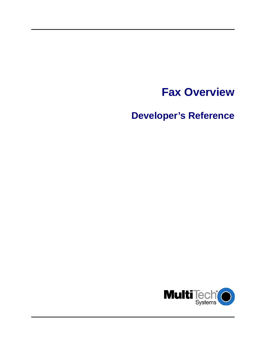# **Fax Overview**

**Developer's Reference** 

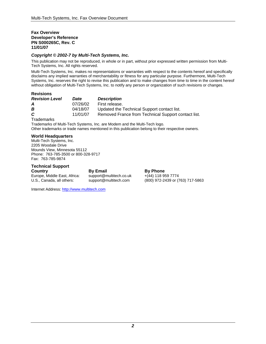#### **Fax Overview Developer's Reference PN S000265C, Rev. C 11/01/07**

#### *Copyright © 2002-7 by Multi-Tech Systems, Inc.*

This publication may not be reproduced, in whole or in part, without prior expressed written permission from Multi-Tech Systems, Inc. All rights reserved.

Multi-Tech Systems, Inc. makes no representations or warranties with respect to the contents hereof and specifically disclaims any implied warranties of merchantability or fitness for any particular purpose. Furthermore, Multi-Tech Systems, Inc. reserves the right to revise this publication and to make changes from time to time in the content hereof without obligation of Multi-Tech Systems, Inc. to notify any person or organization of such revisions or changes.

#### **Revisions**

| <b>Revision Level</b> | Date     | <b>Description</b>                                  |
|-----------------------|----------|-----------------------------------------------------|
| A                     | 07/26/02 | First release.                                      |
| в                     | 04/18/07 | Updated the Technical Support contact list.         |
| C.                    | 11/01/07 | Removed France from Technical Support contact list. |
|                       |          |                                                     |

**Trademarks** 

Trademarks of Multi-Tech Systems, Inc. are Modem and the Multi-Tech logo. Other trademarks or trade names mentioned in this publication belong to their respective owners.

#### **World Headquarters**

Multi-Tech Systems, Inc. 2205 Woodale Drive Mounds View, Minnesota 55112 Phone: 763-785-3500 or 800-328-9717 Fax: 763-785-9874

#### **Technical Support**

Europe, Middle East, Africa: support@multitech.co.uk +(44) 118 959 7774

**Country 6. In the By Email By Phone By Phone** 

U.S., Canada, all others: support@multitech.com (800) 972-2439 or (763) 717-5863

Internet Address: [http://www.multitech.com](http://www.multitech.com/)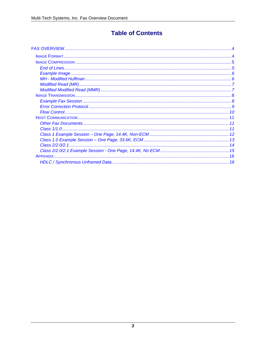## **Table of Contents**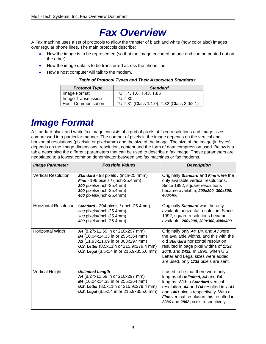## *Fax Overview*

<span id="page-3-0"></span>A Fax machine uses a set of protocols to allow the transfer of black and white (now color also) images over regular phone lines. The main protocols describe:

- How the image is to be represented (so that the image encoded on one end can be printed out on the other) .
- How the image data is to be transferred across the phone line.
- How a host computer will talk to the modem.

#### *Table of Protocol Types and Their Associated Standards*

| <b>Protocol Type</b>      | <b>Standard</b>                              |  |  |  |  |
|---------------------------|----------------------------------------------|--|--|--|--|
| Image Format              | ITU T.4, T.6, T.43, T.85                     |  |  |  |  |
| Image Transmission        | <b>ITU T.30</b>                              |  |  |  |  |
| <b>Host Communication</b> | ITU T.31 (Class 1/1.0), T.32 (Class 2.0/2.1) |  |  |  |  |

## <span id="page-3-1"></span>*Image Format*

A standard black and white fax image consists of a grid of pixels at fixed resolutions and image sizes compressed in a particular manner. The number of pixels in the image depends on the vertical and horizontal resolutions (pixels/in or pixels/mm) and the size of the image. The size of the image (in bytes) depends on the image dimensions, resolution, content and the form of data compression used. Below is a table describing the different parameters that can be used to describe a fax image. These parameters are negotiated to a lowest common denominator between two fax machines or fax modems.

| <b>Image Parameter</b>       | <b>Possible Values</b>                                                                                                                                                                             | <b>Description</b>                                                                                                                                                                                                                                                                     |
|------------------------------|----------------------------------------------------------------------------------------------------------------------------------------------------------------------------------------------------|----------------------------------------------------------------------------------------------------------------------------------------------------------------------------------------------------------------------------------------------------------------------------------------|
| <b>Vertical Resolution</b>   | Standard - 98 pixels / (inch-25.4mm)<br>Fine - 196 pixels / (inch-25.4mm)<br>200 pixels/(inch-25.4mm)<br>300 pixels/(inch-25.4mm)<br>400 pixels/(inch-25.4mm)                                      | Originally Standard and Fine were the<br>only available vertical resolutions.<br>Since 1992, square resolutions<br>became available, 200x200, 300x300,<br>400x400                                                                                                                      |
| <b>Horizontal Resolution</b> | Standard - 204 pixels / (inch-25.4mm)<br>200 pixels/(inch-25.4mm)<br>300 pixels/(inch-25.4mm)<br>400 pixels/(inch-25.4mm)                                                                          | Originally Standard was the only<br>available horizontal resolution. Since<br>1992, square resolutions became<br>available, 200x200, 300x300, 400x400.                                                                                                                                 |
| Horizontal Width             | A4 (8.27x11.69 in or 210x297 mm)<br>B4 (10.04x14.33 in or 255x364 mm)<br>A3 (11.93x11.69 in or 303x297 mm)<br>U.S. Letter (8.5x11in or 215.9x279.4 mm)<br>U.S. Legal (8.5x14 in or 215.9x355.6 mm) | Originally only A4, B4, and A3 were<br>the available widths, and this with the<br>old Standard horizontal resolution<br>resulted in page pixel widths of 1728,<br>2048, and 2432. In 1996, when U.S.<br>Letter and Legal sizes were added<br>are used, only 1728 pixels are sent.      |
| <b>Vertical Height</b>       | <b>Unlimited Length</b><br>A4 (8.27x11.69 in or 210x297 mm)<br>B4 (10.04x14.33 in or 255x364 mm)<br>U.S. Letter (8.5x11in or 215.9x279.4 mm)<br>U.S. Legal (8.5x14 in or 215.9x355.6 mm)           | It used to be that there were only<br>lengths of Unlimited, A4 and B4<br>lengths. With a Standard vertical<br>resolution, A4 and B4 resulted in 1143<br>and 1401 pixels respectively. With a<br><b>Fine</b> vertical resolution this resulted in<br>2286 and 2802 pixels respectively. |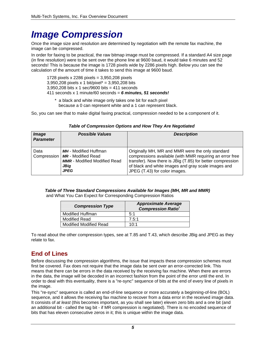## <span id="page-4-0"></span>*Image Compression*

Once the image size and resolution are determined by negotiation with the remote fax machine, the image can be compressed.

In order for faxing to be practical, the raw bitmap image must be compressed. If a standard A4 size page (in fine resolution) were to be sent over the phone line at 9600 baud, it would take 6 minutes and 52 seconds! This is because the image is 1728 pixels wide by 2286 pixels high. Below you can see the calculation of the amount of time it takes to send this image at 9600 baud.

1728 pixels x 2286 pixels = 3,950,208 pixels  $3,950,208$  pixels x 1 bit/pixel\* = 3,950,208 bits 3,950,208 bits x 1 sec/9600 bits = 411 seconds 411 seconds x 1 minute/60 seconds = *6 minutes, 51 seconds!*

\* a black and white image only takes one bit for each pixel because a 0 can represent white and a 1 can represent black.

So, you can see that to make digital faxing practical, compression needed to be a component of it.

| Image<br><b>Parameter</b> | <b>Possible Values</b>                                                                                                         | <b>Description</b>                                                                                                                                                                                                                                                 |
|---------------------------|--------------------------------------------------------------------------------------------------------------------------------|--------------------------------------------------------------------------------------------------------------------------------------------------------------------------------------------------------------------------------------------------------------------|
| Data<br>Compression       | <b>MH</b> - Modified Huffman<br><b>MR</b> - Modified Read<br><b>MMR</b> - Modified Modified Read<br><b>JBig</b><br><b>JPEG</b> | Originally MH, MR and MMR were the only standard<br>compressions available (with MMR requiring an error free<br>transfer). Now there is JBig (T.85) for better compression<br>of black and white images and gray scale images and<br>JPEG (T.43) for color images. |

#### *Table of Compression Options and How They Are Negotiated*

*Table of Three Standard Compressions Available for Images (MH, MR and MMR)* 

and What You Can Expect for Corresponding Compression Ratios

| <b>Compression Type</b>       | <b>Approximate Average</b><br><b>Compression Ratio<sup>1</sup></b> |
|-------------------------------|--------------------------------------------------------------------|
| <b>Modified Huffman</b>       | 5:1                                                                |
| <b>Modified Read</b>          | 7.5:1                                                              |
| <b>Modified Modified Read</b> | 10:1                                                               |

To read about the other compression types, see at T.85 and T.43, which describe JBig and JPEG as they relate to fax.

## <span id="page-4-1"></span>**End of Lines**

Before discussing the compression algorithms, the issue that impacts these compression schemes must first be covered. Fax does not require that the image data be sent over an error-corrected link. This means that there can be errors in the data received by the receiving fax machine. When there are errors in the data, the image will be decoded in an incorrect fashion from the point of the error until the end. In order to deal with this eventuality, there is a "re-sync" sequence of bits at the end of every line of pixels in the image.

This "re-sync" sequence is called an end-of-line sequence or more accurately a beginning-of-line (BOL) sequence, and it allows the receiving fax machine to recover from a data error in the received image data. It consists of *at least* (this becomes important, as you shall see later) eleven zero bits and a one bit (and an additional bit - called the tag bit - if MR compression is negotiated). There is no encoded sequence of bits that has eleven consecutive zeros in it; this is unique within the image data.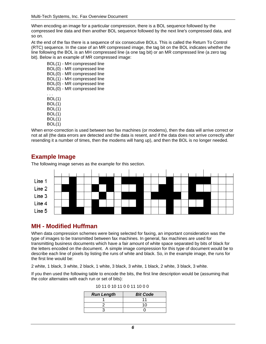When encoding an image for a particular compression, there is a BOL sequence followed by the compressed line data and then another BOL sequence followed by the next line's compressed data, and so on.

At the end of the fax there is a sequence of six consecutive BOLs. This is called the Return To Control (RTC) sequence. In the case of an MR compressed image, the tag bit on the BOL indicates whether the line following the BOL is an MH compressed line (a one tag bit) or an MR compressed line (a zero tag bit). Below is an example of MR compressed image:

BOL(1) - MH compressed line BOL(0) - MR compressed line BOL(0) - MR compressed line BOL(1) - MH compressed line BOL(0) - MR compressed line BOL(0) - MR compressed line . . . BOL(1) BOL(1) BOL(1) BOL(1) BOL(1) BOL(1)

When error-correction is used between two fax machines (or modems), then the data will arrive correct or not at all (the data errors are detected and the data is resent, and if the data does not arrive correctly after resending it a number of times, then the modems will hang up), and then the BOL is no longer needed.



#### <span id="page-5-0"></span>**Example Image**

The following image serves as the example for this section.

#### <span id="page-5-1"></span>**MH - Modified Huffman**

When data compression schemes were being selected for faxing, an important consideration was the type of images to be transmitted between fax machines. In general, fax machines are used for transmitting business documents which have a fair amount of white space separated by bits of black for the letters encoded on the document. A simple image compression for this type of document would be to describe each line of pixels by listing the runs of white and black. So, in the example image, the runs for the first line would be:

2 white, 1 black, 3 white, 2 black, 1 white, 3 black, 3 white, 1 black, 2 white, 3 black, 3 white.

If you then used the following table to encode the bits, the first line description would be (assuming that the color alternates with each run or set of bits):

| <b>Run Length</b> | <b>Bit Code</b> |
|-------------------|-----------------|
|                   |                 |
|                   |                 |
|                   |                 |

| 10 11 0 10 11 0 0 11 10 0 0 |  |  |  |  |  |  |  |  |  |  |  |
|-----------------------------|--|--|--|--|--|--|--|--|--|--|--|
|-----------------------------|--|--|--|--|--|--|--|--|--|--|--|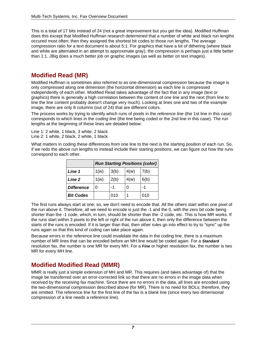This is a total of 17 bits instead of 24 (not a great improvement but you get the idea). Modified Huffman does this except that Modified Huffman research determined that a number of white and black run lengths occured most often; then they assigned the shortest bit codes to those run lengths. The average compression ratio for a text document is about 5:1. For graphics that have a lot of dithering (where black and white are alternated in an attempt to approximate gray), the compression is perhaps just a little better than 1:1. JBig does a much better job on graphic images (as well as better on text images).

### <span id="page-6-0"></span>**Modified Read (MR)**

Modified Huffman is sometimes also referred to as one-dimensional compression because the image is only compressed along one dimension (the horizontal dimension) as each line is compressed independently of each other. Modified Read takes advantage of the fact that in any image (text or graphics) there is generally a high correlation between the content of one line and the next (from line to line the line content probably doesn't change very much). Looking at lines one and two of the example image, there are only 8 columns (out of 24) that are different colors.

The process works by trying to identify which runs of pixels in the *reference line* (the 1st line in this case) corresponds to which lines in the *coding line* (the line being coded or the 2nd line in this case). The run lengths at the beginning of these lines are detailed below:

Line 1: 2 white, 1 black, 3 white, 2 black Line 2: 1 white, 2 black, 2 white, 1 black

What matters in coding these differences from one line to the next is the starting position of each run. So, if we redo the above run lengths to instead include their starting positions, we can figure out how the runs correspond to each other.

|                   | <b>Run Starting Positions (color)</b> |      |      |      |  |
|-------------------|---------------------------------------|------|------|------|--|
| Line 1            | 1(w)                                  | 3(b) | 4(w) | 7(b) |  |
| Line 2            | 1(w)                                  | 2(b) | 4(w) | 6(b) |  |
| <b>Difference</b> | 0                                     | -1   |      |      |  |
| <b>Bit Codes</b>  |                                       | 010  |      | 010  |  |

The first runs always start at one; so, we don't need to encode that. All the others start within one pixel of the run above it. Therefore, all we need to encode is just the -1 and the 0, with the zero bit code being shorter than the -1 code, which, in turn, should be shorter than the -2 code, etc. This is how MR works. If the runs start within 3 pixels to the left or right of the run above it, then only the difference between the starts of the runs is encoded. If it is larger than that, then other rules go into effect to try to "sync" up the runs again so that this kind of coding can take place again.

Because errors in the reference line could invalidate the data in the coding line, there is a maximum number of MR lines that can be encoded before an MH line would be coded again. For a *Standard* resolution fax, the number is one MR for every MH. For a *Fine* or higher resolution fax, the number is two MR for every MH line.

## <span id="page-6-1"></span>**Modified Modified Read (MMR)**

MMR is really just a simple extension of MH and MR. This requires (and takes advantage of) that the image be transferred over an error-corrected link so that there are no errors in the image data when received by the receiving fax machine. Since there are no errors in the data, all lines are encoded using the two-dimensional compression described above (for MR). There is no need for BOLs; therefore, they are omitted. The reference line for the first line of the fax is a blank line (since every two dimensional compression of a line needs a reference line).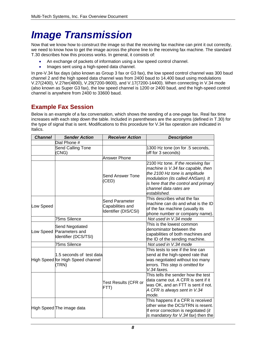# <span id="page-7-0"></span>*Image Transmission*

Now that we know how to construct the image so that the receiving fax machine can print it out correctly, we need to know how to get the image across the phone line to the receiving fax machine. The standard T.30 describes how this process works. In general, it consists of:

- An exchange of packets of information using a low speed control channel.
- Images sent using a high-speed data channel.

In pre-V.34 fax days (also known as Group 3 fax or G3 fax), the low speed control channel was 300 baud channel 2 and the high speed data channel was from 2400 baud to 14,400 baud using modulations V.27(2400), V.27ter(4800), V.29(7200-9600), and V.17(7200-14400). When connecting in V.34 mode (also known as Super G3 fax), the low speed channel is 1200 or 2400 baud, and the high-speed control channel is anywhere from 2400 to 33600 baud.

#### <span id="page-7-1"></span>**Example Fax Session**

Below is an example of a fax conversation, which shows the sending of a one-page fax. Real fax time increases with each step down the table. Included in parentheses are the acronyms (defined in T.30) for the type of signal that is sent. Modifications to this procedure for V.34 fax operation are indicated in Italics.

| <b>Channel</b> | <b>Sender Action</b>                                                   | <b>Receiver Action</b>                                     | <b>Description</b>                                                                                                                                                                                                              |
|----------------|------------------------------------------------------------------------|------------------------------------------------------------|---------------------------------------------------------------------------------------------------------------------------------------------------------------------------------------------------------------------------------|
|                | Dial Phone $#$                                                         |                                                            |                                                                                                                                                                                                                                 |
|                | Send Calling Tone                                                      |                                                            | 1300 Hz tone (on for .5 seconds,                                                                                                                                                                                                |
|                | (CNG)                                                                  |                                                            | off for 3 seconds)                                                                                                                                                                                                              |
|                |                                                                        | <b>Answer Phone</b>                                        |                                                                                                                                                                                                                                 |
|                |                                                                        | <b>Send Answer Tone</b><br>(CED)                           | 2100 Hz tone. If the receiving fax<br>machine is V.34 fax capable, then<br>the 2100 Hz tone is amplitude<br>modulation (its called ANSam). It<br>is here that the control and primary<br>channel data rates are<br>established. |
| Low Speed      |                                                                        | Send Parameter<br>Capabilities and<br>Identifier (DIS/CSI) | This describes what the fax<br>machine can do and what is the ID<br>of the fax machine (usually its<br>phone number or company name).                                                                                           |
|                | 75ms Silence                                                           |                                                            | Not used in V.34 mode                                                                                                                                                                                                           |
|                | Send Negotiated<br>Low Speed Parameters and<br>Identifier (DCS/TSI)    |                                                            | This is the lowest common<br>denominator between the<br>capabilities of both machines and<br>the ID of the sending machine.                                                                                                     |
|                | 75ms Silence                                                           |                                                            | Not used in V.34 mode                                                                                                                                                                                                           |
|                | 1.5 seconds of test data<br>High Speed for High Speed channel<br>(TRN) |                                                            | This tests to see if the line can<br>send at the high-speed rate that<br>was negotiated without too many<br>errors. This step is omitted for<br>V.34 faxes.                                                                     |
|                |                                                                        | Test Results (CFR or<br>FTT)                               | This tells the sender how the test<br>data came out. A CFR is sent if it<br>was OK, and an FTT is sent if not.<br>A CFR is always sent in V.34<br>mode.                                                                         |
|                | High Speed The image data                                              |                                                            | This happens if a CFR is received<br>other wise the DCS/TRN is resent.<br>If error correction is negotiated (it<br>is mandatory for V.34 fax) then the                                                                          |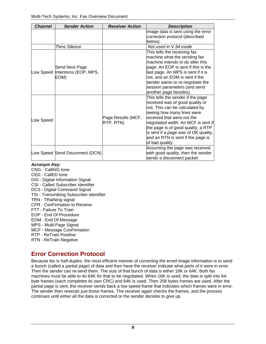| <b>Channel</b> | <b>Sender Action</b>            | <b>Receiver Action</b> | <b>Description</b>                                                   |
|----------------|---------------------------------|------------------------|----------------------------------------------------------------------|
|                |                                 |                        | image data is sent using the error<br>correction protocol (described |
|                |                                 |                        | below).                                                              |
|                | <b>75ms Silence</b>             |                        | Not used in V.34 mode                                                |
|                |                                 |                        | This tells the receiving fax                                         |
|                |                                 |                        | machine what the sending fax                                         |
|                |                                 |                        | machine intends to do after this                                     |
|                | Send Next Page                  |                        | page. An EOP is sent if this is the                                  |
|                | Low Speed Intentions (EOP, MPS, |                        | last page. An MPS is sent if it is                                   |
|                | EOM)                            |                        | not, and an EOM is sent if the                                       |
|                |                                 |                        | sender wants to re-negotiate the                                     |
|                |                                 |                        | session parameters (and send                                         |
|                |                                 |                        | another page besides).                                               |
|                |                                 |                        | This tells the sender if the page                                    |
|                |                                 |                        | received was of good quality or                                      |
|                |                                 |                        | not. This can be calculated by                                       |
|                |                                 |                        | seeing how many lines were                                           |
| Low Speed      |                                 | Page Results (MCF,     | received that were not the                                           |
|                |                                 | RTP, RTN)              | negotiated width. An MCF is sent if                                  |
|                |                                 |                        | the page is of good quality, a RTP                                   |
|                |                                 |                        | is sent if a page was of OK quality,                                 |
|                |                                 |                        | and an RTN is sent if the page is                                    |
|                |                                 |                        | of bad quality.                                                      |
|                |                                 |                        | Assuming the page was received                                       |
|                | Low Speed Send Disconnect (DCN) |                        | with good quality, then the sender                                   |
|                |                                 |                        | sends a disconnect packet.                                           |

#### *Acronym Key:*

CNG - CalliNG tone

- CED CallED tone
- DIS Digital Information Signal

CSI - Called Subscriber Identifier

- DCS Digital Command Signal
- TSI Transmitting Subscriber Identifier
- TRN TRaiNing signal
- CFR ConFirmation to Receive
- FTT Failure To Train
- EOP End Of Procedure
- EOM End Of Message
- MPS Multi-Page Signal
- MCF Message ConFirmation
- RTP ReTrain Positive
- RTN ReTrain Negative

#### <span id="page-8-0"></span>**Error Correction Protocol**

Because fax is half-duplex, the most efficient manner of correcting the erred image information is to send a bunch (called a partial page) of data and then have the receiver indicate what parts of it were in error. Then the sender can re-send them. The size of that bunch of data is either 16K or 64K. Both fax machines must be able to do 64K for that to be negotiated. When 16K is used, the data is split into 64 byte frames (each completes its own CRC) and 64K is used. Then 256 bytes frames are used. After the partial page is sent, the receiver sends back a low speed frame that indicates which frames were in error. The sender then resends just those frames. The receiver again checks the frames, and the process continues until either all the data is corrected or the sender decides to give up.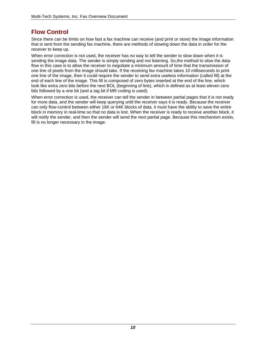#### <span id="page-9-0"></span>**Flow Control**

Since there can be limits on how fast a fax machine can receive (and print or store) the image information that is sent from the sending fax machine, there are methods of slowing down the data in order for the receiver to keep up.

When error correction is not used, the receiver has no way to tell the sender to slow down when it is sending the image data. The sender is simply sending and not listening. So,the method to slow the data flow in this case is to allow the receiver to negotiate a minimum amount of time that the transmission of one line of pixels from the image should take. If the receiving fax machine takes 10 milliseconds to print one line of the image, then it could require the sender to send extra useless information (called fill) at the end of each line of the image. This fill is composed of zero bytes inserted at the end of the line, which look like extra zero bits before the next BOL (beginning of line), which is defined as at least eleven zero bits followed by a one bit (and a tag bit if MR coding is used).

When error correction is used, the receiver can tell the sender in between partial pages that it is not ready for more data, and the sender will keep querying until the receiver says it is ready. Because the receiver can only flow-control between either 16K or 64K blocks of data, it must have the ability to save the entire block in memory in real-time so that no data is lost. When the receiver is ready to receive another block, it will notify the sender, and then the sender will send the next partial page. Because this mechanism exists, fill is no longer necessary in the image.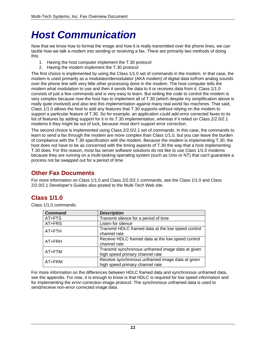# <span id="page-10-0"></span>*Host Communication*

Now that we know how to format the image and how it is really transmitted over the phone lines, we can tackle how we talk a modem into sending or receiving a fax. There are primarily two methods of doing this:

- 1. Having the host computer implement the T.30 protocol
- 2. Having the modem implement the T.30 protocol

The first choice is implemented by using the Class 1/1.0 set of commands in the modem. In that case, the modem is used primarily as a modulator/demodulator (AKA modem) of digital data to/from analog sounds over the phone line with very little other processing done in the modem. The host computer tells the modem what modulation to use and then it sends the data to it or receives data from it. Class 1/1.0 consists of just a few commands and is very easy to learn. But writing the code to control the modem is very complex because now the host has to implement all of T.30 (which despite my simplification above is really quite involved) and also test this implementation against many real world fax machines. That said, Class 1/1.0 allows the host to add any features that T.30 supports without relying on the modem to support a particular feature of T.30. So for example, an application could add error corrected faxes to its list of features by adding support for it in its T.30 implementation, whereas if it relied on Class 2/2.0/2.1 modems it they might be out of luck, because most don't support error correction.

The second choice is implemented using Class 2/2.0/2.1 set of commands. In this case, the commands to learn to send a fax through the modem are more complex than Class 1/1.0, but you can leave the burden of compliance with the T.30 specification with the modem. Because the modem is implementing T.30, the host does not have to be as concerned with the timing aspects of T.30 the way that a host implementing T.30 does. For this reason, most fax server software solutions do not like to use Class 1/1.0 modems because they are running on a multi-tasking operating system (such as Unix or NT) that can't guarantee a process not be swapped out for a period of time.

#### <span id="page-10-1"></span>**Other Fax Documents**

For more information on Class 1/1.0 and Class 2/2.0/2.1 commands, see the Class 1/1.0 and Class 2/2.0/2.1 Developer's Guides also posted to the Multi-Tech Web site.

## <span id="page-10-2"></span>**Class 1/1.0**

Class 1/1.0 commands:

| <b>Command</b> | <b>Description</b>                                                                   |
|----------------|--------------------------------------------------------------------------------------|
| AT+FTS         | Transmit silence for a period of time                                                |
| AT+FRS         | Listen for silence                                                                   |
| AT+FTH         | Transmit HDLC framed data at the low speed control<br>channel rate                   |
| AT+FRH         | Receive HDLC framed data at the low speed control<br>channel rate                    |
| AT+FTM         | Transmit synchronous unframed image data at given<br>high speed primary channel rate |
| AT+FRM         | Receive synchronous unframed image data at given<br>high speed primary channel rate  |

For more information on the differences between HDLC framed data and synchronous unframed data, see the appendix. For now, it is enough to know is that HDLC is required for low speed information and for implementing the error-correction image protocol. The synchronous unframed data is used to send/receive non-error corrected image data.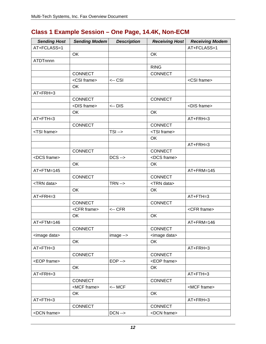## <span id="page-11-0"></span>**Class 1 Example Session – One Page, 14.4K, Non-ECM**

| <b>Sending Host</b>  | <b>Sending Modem</b> | <b>Description</b>  | <b>Receiving Host</b> | <b>Receiving Modem</b> |
|----------------------|----------------------|---------------------|-----------------------|------------------------|
| AT+FCLASS=1          |                      |                     |                       | AT+FCLASS=1            |
|                      | OK                   |                     | OK                    |                        |
| ATDTnnnn             |                      |                     |                       |                        |
|                      |                      |                     | <b>RING</b>           |                        |
|                      | CONNECT              |                     | CONNECT               |                        |
|                      | <csi frame=""></csi> | <-- CSI             |                       | <csi frame=""></csi>   |
|                      | OK                   |                     |                       |                        |
| AT+FRH=3             |                      |                     |                       |                        |
|                      | <b>CONNECT</b>       |                     | CONNECT               |                        |
|                      | <dis frame=""></dis> | <-- DIS             |                       | <dis frame=""></dis>   |
|                      | OK                   |                     | OK                    |                        |
| $AT + FTH = 3$       |                      |                     |                       | $AT+FRH=3$             |
|                      | CONNECT              |                     | <b>CONNECT</b>        |                        |
| <tsi frame=""></tsi> |                      | $TSI ->$            | <tsi frame=""></tsi>  |                        |
|                      |                      |                     | OK                    |                        |
|                      |                      |                     |                       | AT+FRH=3               |
|                      | <b>CONNECT</b>       |                     | CONNECT               |                        |
| <dcs frame=""></dcs> |                      | $DCS \rightarrow$   | <dcs frame=""></dcs>  |                        |
|                      | OK                   |                     | OK                    |                        |
| AT+FTM=145           |                      |                     |                       | AT+FRM=145             |
|                      | CONNECT              |                     | <b>CONNECT</b>        |                        |
| <trn data=""></trn>  |                      | $TRN \rightarrow$   | <trn data=""></trn>   |                        |
|                      | OK                   |                     | OK                    |                        |
| AT+FRH=3             |                      |                     |                       | $AT + FTH = 3$         |
|                      | <b>CONNECT</b>       |                     | <b>CONNECT</b>        |                        |
|                      | <cfr frame=""></cfr> | <-- CFR             |                       | <cfr frame=""></cfr>   |
|                      | OK                   |                     | OK                    |                        |
| $AT+FTM=146$         |                      |                     |                       | AT+FRM=146             |
|                      | CONNECT              |                     | <b>CONNECT</b>        |                        |
| <image data=""/>     |                      | $image \rightarrow$ | <image data=""/>      |                        |
|                      | OK                   |                     | OK                    |                        |
| $AT + FTH = 3$       |                      |                     |                       | $AT+FRH=3$             |
|                      | <b>CONNECT</b>       |                     | <b>CONNECT</b>        |                        |
| <eop frame=""></eop> |                      | $EOP \rightarrow$   | <eop frame=""></eop>  |                        |
|                      | OK                   |                     | OK                    |                        |
| $AT+FRH=3$           |                      |                     |                       | $AT + FTH = 3$         |
|                      | CONNECT              |                     | <b>CONNECT</b>        |                        |
|                      | <mcf frame=""></mcf> | <-- MCF             |                       | <mcf frame=""></mcf>   |
|                      | OK                   |                     | OK                    |                        |
| $AT + FTH = 3$       |                      |                     |                       | $AT+FRH=3$             |
|                      | <b>CONNECT</b>       |                     | <b>CONNECT</b>        |                        |
| <dcn frame=""></dcn> |                      | $DCN \rightarrow$   | <dcn frame=""></dcn>  |                        |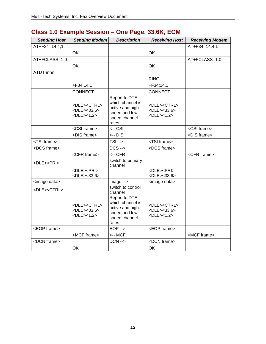<span id="page-12-0"></span>

| <b>Sending Host</b>      | <b>Sending Modem</b>                                                                                                                | <b>Description</b>                                                                               | <b>Receiving Host</b>                                                                                     | <b>Receiving Modem</b> |
|--------------------------|-------------------------------------------------------------------------------------------------------------------------------------|--------------------------------------------------------------------------------------------------|-----------------------------------------------------------------------------------------------------------|------------------------|
| AT+F34=14,4,1            |                                                                                                                                     |                                                                                                  |                                                                                                           | AT+F34=14,4,1          |
|                          | OK                                                                                                                                  |                                                                                                  | <b>OK</b>                                                                                                 |                        |
| AT+FCLASS=1.0            |                                                                                                                                     |                                                                                                  |                                                                                                           | AT+FCLASS=1.0          |
|                          | OK                                                                                                                                  |                                                                                                  | OK                                                                                                        |                        |
| <b>ATDTnnnn</b>          |                                                                                                                                     |                                                                                                  |                                                                                                           |                        |
|                          |                                                                                                                                     |                                                                                                  | <b>RING</b>                                                                                               |                        |
|                          | $+F34:14,1$                                                                                                                         |                                                                                                  | $+F34:14,1$                                                                                               |                        |
|                          | <b>CONNECT</b>                                                                                                                      |                                                                                                  | <b>CONNECT</b>                                                                                            |                        |
|                          | <dle><ctrl><br/><math>&lt;</math>DLE&gt;<math>&lt;</math>33.6&gt;<br/><math>&lt;</math>DLE&gt;<math>&lt;</math>1.2&gt;</ctrl></dle> | Report to DTE<br>which channel is<br>active and high<br>speed and low<br>speed channel<br>rates. | <dle><ctrl><br/><dle>&lt;33.6&gt;<br/><math>&lt;</math>DLE&gt;<math>&lt;</math>1.2&gt;</dle></ctrl></dle> |                        |
|                          | <csi frame=""></csi>                                                                                                                | $\leftarrow$ CSI                                                                                 |                                                                                                           | <csi frame=""></csi>   |
|                          | <dis frame=""></dis>                                                                                                                | $\leftarrow$ DIS                                                                                 |                                                                                                           | <dis frame=""></dis>   |
| <tsi frame=""></tsi>     |                                                                                                                                     | $TSI \rightarrow$                                                                                | <tsi frame=""></tsi>                                                                                      |                        |
| <dcs frame=""></dcs>     |                                                                                                                                     | $DCS \rightarrow$                                                                                | <dcs frame=""></dcs>                                                                                      |                        |
|                          | <cfr frame=""></cfr>                                                                                                                | $<$ -- CFR                                                                                       |                                                                                                           | <cfr frame=""></cfr>   |
| <dle><pri></pri></dle>   |                                                                                                                                     | switch to primary<br>channel                                                                     |                                                                                                           |                        |
|                          | <dle><pri><br/><dle>&lt;33.6&gt;</dle></pri></dle>                                                                                  |                                                                                                  | <dle><pri><br/><dle>&lt;33.6&gt;</dle></pri></dle>                                                        |                        |
| <image data=""/>         |                                                                                                                                     | image -->                                                                                        | <image data=""/>                                                                                          |                        |
| <dle><ctrl></ctrl></dle> |                                                                                                                                     | switch to control<br>channel                                                                     |                                                                                                           |                        |
|                          | <dle><ctrl><br/><math>&lt;</math>DLE&gt;<math>&lt;</math>33.6&gt;<br/><dle>&lt;1.2&gt;</dle></ctrl></dle>                           | Report to DTE<br>which channel is<br>active and high<br>speed and low<br>speed channel<br>rates. | <dle><ctrl><br/><dle>&lt;33.6&gt;<br/><math>&lt;</math>DLE&gt;<math>&lt;</math>1.2&gt;</dle></ctrl></dle> |                        |
| <eop frame=""></eop>     |                                                                                                                                     | $EOP \rightarrow$                                                                                | <eop frame=""></eop>                                                                                      |                        |
|                          | <mcf frame=""></mcf>                                                                                                                | <-- MCF                                                                                          |                                                                                                           | <mcf frame=""></mcf>   |
| <dcn frame=""></dcn>     |                                                                                                                                     | $DCN \rightarrow$                                                                                | <dcn frame=""></dcn>                                                                                      |                        |
|                          | OK                                                                                                                                  |                                                                                                  | OK                                                                                                        |                        |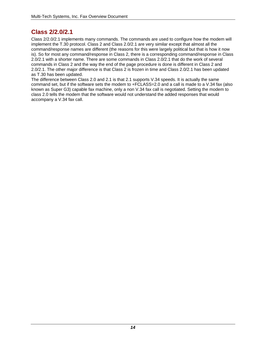### <span id="page-13-0"></span>**Class 2/2.0/2.1**

Class 2/2.0/2.1 implements many commands. The commands are used to configure how the modem will implement the T.30 protocol. Class 2 and Class 2.0/2.1 are very similar except that almost all the command/response names are different (the reasons for this were largely political but that is how it now is). So for most any command/response in Class 2, there is a corresponding command/response in Class 2.0/2.1 with a shorter name. There are some commands in Class 2.0/2.1 that do the work of several commands in Class 2 and the way the end of the page procedure is done is different in Class 2 and 2.0/2.1. The other major difference is that Class 2 is frozen in time and Class 2.0/2.1 has been updated as T.30 has been updated.

The difference between Class 2.0 and 2.1 is that 2.1 supports V.34 speeds. It is actually the same command set, but if the software sets the modem to +FCLASS=2.0 and a call is made to a V.34 fax (also known as Super G3) capable fax machine, only a non V.34 fax call is negotiated. Setting the modem to class 2.0 tells the modem that the software would not understand the added responses that would accompany a V.34 fax call.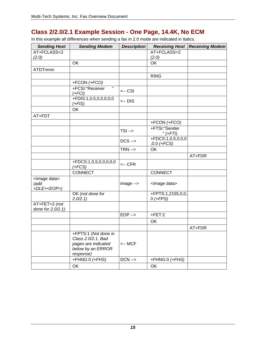## <span id="page-14-0"></span>**Class 2/2.0/2.1 Example Session - One Page, 14.4K, No ECM**

In this example all differences when sending a fax in 2.0 mode are indicated in Italics.

| <b>Sending Host</b>                                 | <b>Sending Modem</b>                                                                                | <b>Description</b> | <b>Receiving Host</b>                | <b>Receiving Modem</b> |
|-----------------------------------------------------|-----------------------------------------------------------------------------------------------------|--------------------|--------------------------------------|------------------------|
| AT+FCLASS=2                                         |                                                                                                     |                    | AT+FCLASS=2                          |                        |
| (2.0)                                               |                                                                                                     |                    | (2.0)                                |                        |
|                                                     | <b>OK</b>                                                                                           |                    | <b>OK</b>                            |                        |
| ATDTnnnn                                            |                                                                                                     |                    |                                      |                        |
|                                                     |                                                                                                     |                    | <b>RING</b>                          |                        |
|                                                     | +FCON (+FCO)                                                                                        |                    |                                      |                        |
|                                                     | $\overline{\phantom{a}}$<br>+FCSI:"Receiver<br>$(+FCI)$                                             | <-- CSI            |                                      |                        |
|                                                     | +FDIS:1,0,5,0,0,0,0,0<br>$(+FIS)$                                                                   | <-- DIS            |                                      |                        |
|                                                     | <b>OK</b>                                                                                           |                    |                                      |                        |
| AT+FDT                                              |                                                                                                     |                    |                                      |                        |
|                                                     |                                                                                                     |                    | +FCON (+FCO)                         |                        |
|                                                     |                                                                                                     | $TSI - >$          | +FTSI:"Sender<br>" $(+FTI)$          |                        |
|                                                     |                                                                                                     | $DCS \rightarrow$  | $+FDCS:1,0,5,0,0,0$<br>$,0,0$ (+FCS) |                        |
|                                                     |                                                                                                     | $TRN \rightarrow$  | <b>OK</b>                            |                        |
|                                                     |                                                                                                     |                    |                                      | AT+FDR                 |
|                                                     | +FDCS:1,0,5,0,0,0,0,0<br>$(+FCS)$                                                                   | $\leftarrow$ CFR   |                                      |                        |
|                                                     | <b>CONNECT</b>                                                                                      |                    | <b>CONNECT</b>                       |                        |
| <image data=""/><br>(add<br><dle><eop>)</eop></dle> |                                                                                                     | image -->          | <image data=""/>                     |                        |
|                                                     | OK (not done for<br>2.0/2.1                                                                         |                    | +FPTS:1,2155,0,0,<br>$0$ (+FPS)      |                        |
| AT+FET=2 (not<br>done for 2.0/2.1)                  |                                                                                                     |                    |                                      |                        |
|                                                     |                                                                                                     | $EOP \rightarrow$  | $+$ FET:2                            |                        |
|                                                     |                                                                                                     |                    | OK                                   |                        |
|                                                     |                                                                                                     |                    |                                      | AT+FDR                 |
|                                                     | +FPTS:1 (Not done in<br>Class 2.0/2.1. Bad<br>pages are indicated<br>below by an ERROR<br>response) | <-- MCF            |                                      |                        |
|                                                     | +FHNG:0 (+FHS)                                                                                      | $DCN \rightarrow$  | +FHNG:0 (+FHS)                       |                        |
|                                                     | OK                                                                                                  |                    | OK                                   |                        |